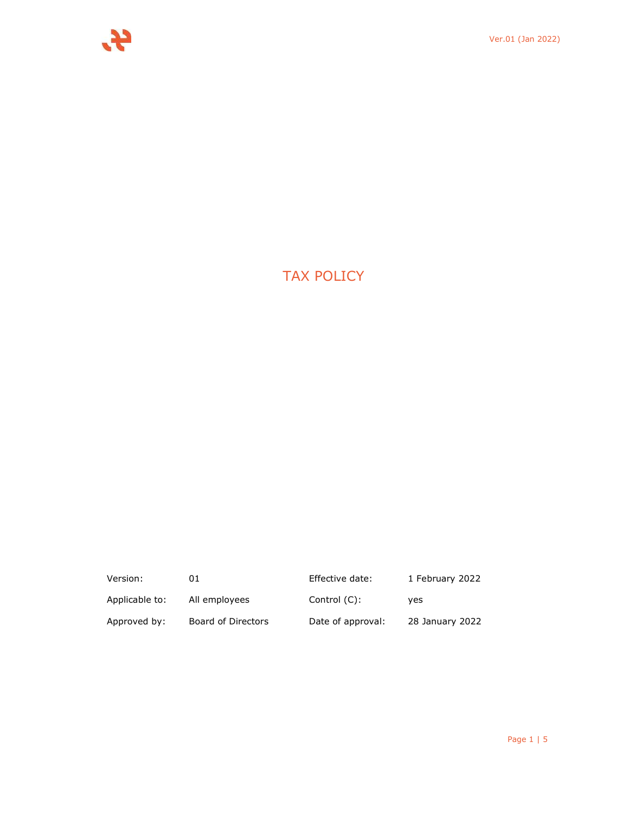# TAX POLICY

| Version:       | 01                 | Effective date:   | 1 February 2022 |
|----------------|--------------------|-------------------|-----------------|
| Applicable to: | All employees      | Control (C):      | ves             |
| Approved by:   | Board of Directors | Date of approval: | 28 January 2022 |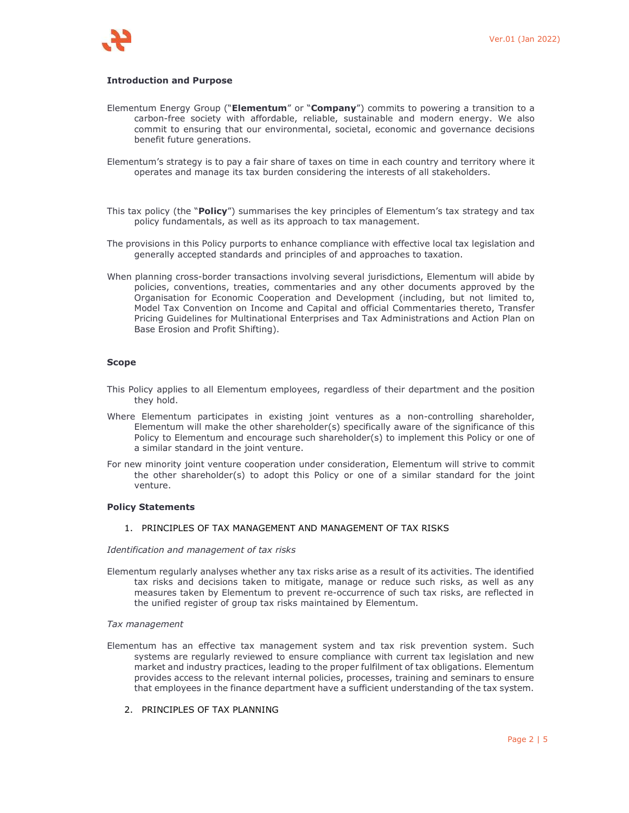

## **Introduction and Purpose**

- Elementum Energy Group ("**Elementum**" or "**Company**") commits to powering a transition to a carbon-free society with affordable, reliable, sustainable and modern energy. We also commit to ensuring that our environmental, societal, economic and governance decisions benefit future generations.
- Elementum's strategy is to pay a fair share of taxes on time in each country and territory where it operates and manage its tax burden considering the interests of all stakeholders.
- This tax policy (the "**Policy**") summarises the key principles of Elementum's tax strategy and tax policy fundamentals, as well as its approach to tax management.
- The provisions in this Policy purports to enhance compliance with effective local tax legislation and generally accepted standards and principles of and approaches to taxation.
- When planning cross-border transactions involving several jurisdictions, Elementum will abide by policies, conventions, treaties, commentaries and any other documents approved by the Organisation for Economic Cooperation and Development (including, but not limited to, Model Tax Convention on Income and Capital and official Commentaries thereto, Transfer Pricing Guidelines for Multinational Enterprises and Tax Administrations and Action Plan on Base Erosion and Profit Shifting).

## **Scope**

- This Policy applies to all Elementum employees, regardless of their department and the position they hold.
- Where Elementum participates in existing joint ventures as a non-controlling shareholder, Elementum will make the other shareholder(s) specifically aware of the significance of this Policy to Elementum and encourage such shareholder(s) to implement this Policy or one of a similar standard in the joint venture.
- For new minority joint venture cooperation under consideration, Elementum will strive to commit the other shareholder(s) to adopt this Policy or one of a similar standard for the joint venture.

# **Policy Statements**

1. PRINCIPLES OF TAX MANAGEMENT AND MANAGEMENT OF TAX RISKS

*Identification and management of tax risks* 

Elementum regularly analyses whether any tax risks arise as a result of its activities. The identified tax risks and decisions taken to mitigate, manage or reduce such risks, as well as any measures taken by Elementum to prevent re-occurrence of such tax risks, are reflected in the unified register of group tax risks maintained by Elementum.

#### *Tax management*

- Elementum has an effective tax management system and tax risk prevention system. Such systems are regularly reviewed to ensure compliance with current tax legislation and new market and industry practices, leading to the proper fulfilment of tax obligations. Elementum provides access to the relevant internal policies, processes, training and seminars to ensure that employees in the finance department have a sufficient understanding of the tax system.
	- 2. PRINCIPLES OF TAX PLANNING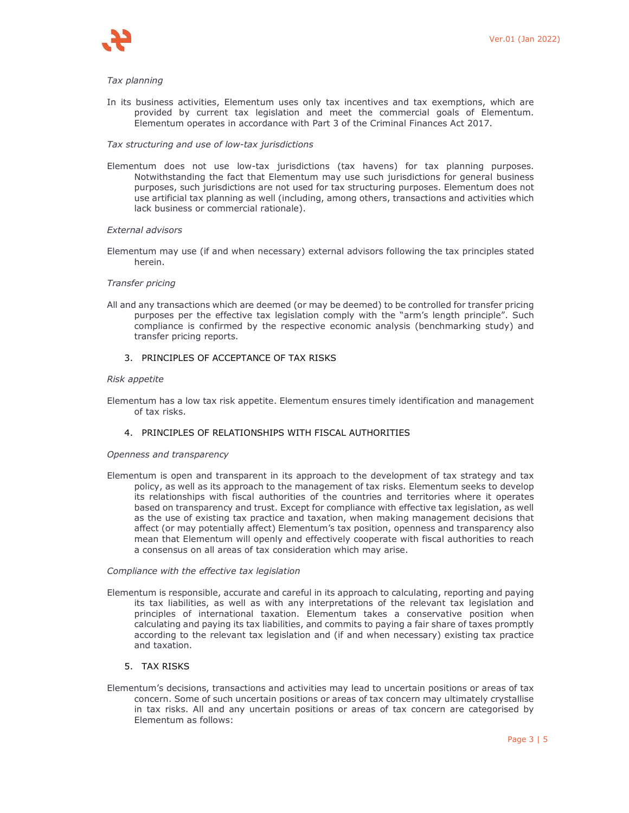

### *Tax planning*

In its business activities, Elementum uses only tax incentives and tax exemptions, which are provided by current tax legislation and meet the commercial goals of Elementum. Elementum operates in accordance with Part 3 of the Criminal Finances Act 2017.

#### *Tax structuring and use of low-tax jurisdictions*

Elementum does not use low-tax jurisdictions (tax havens) for tax planning purposes. Notwithstanding the fact that Elementum may use such jurisdictions for general business purposes, such jurisdictions are not used for tax structuring purposes. Elementum does not use artificial tax planning as well (including, among others, transactions and activities which lack business or commercial rationale).

## *External advisors*

Elementum may use (if and when necessary) external advisors following the tax principles stated herein.

#### *Transfer pricing*

All and any transactions which are deemed (or may be deemed) to be controlled for transfer pricing purposes per the effective tax legislation comply with the "arm's length principle". Such compliance is confirmed by the respective economic analysis (benchmarking study) and transfer pricing reports.

### 3. PRINCIPLES OF ACCEPTANCE OF TAX RISKS

#### *Risk appetite*

Elementum has a low tax risk appetite. Elementum ensures timely identification and management of tax risks.

## 4. PRINCIPLES OF RELATIONSHIPS WITH FISCAL AUTHORITIES

#### *Openness and transparency*

Elementum is open and transparent in its approach to the development of tax strategy and tax policy, as well as its approach to the management of tax risks. Elementum seeks to develop its relationships with fiscal authorities of the countries and territories where it operates based on transparency and trust. Except for compliance with effective tax legislation, as well as the use of existing tax practice and taxation, when making management decisions that affect (or may potentially affect) Elementum's tax position, openness and transparency also mean that Elementum will openly and effectively cooperate with fiscal authorities to reach a consensus on all areas of tax consideration which may arise.

## *Compliance with the effective tax legislation*

Elementum is responsible, accurate and careful in its approach to calculating, reporting and paying its tax liabilities, as well as with any interpretations of the relevant tax legislation and principles of international taxation. Elementum takes a conservative position when calculating and paying its tax liabilities, and commits to paying a fair share of taxes promptly according to the relevant tax legislation and (if and when necessary) existing tax practice and taxation.

## 5. TAX RISKS

Elementum's decisions, transactions and activities may lead to uncertain positions or areas of tax concern. Some of such uncertain positions or areas of tax concern may ultimately crystallise in tax risks. All and any uncertain positions or areas of tax concern are categorised by Elementum as follows: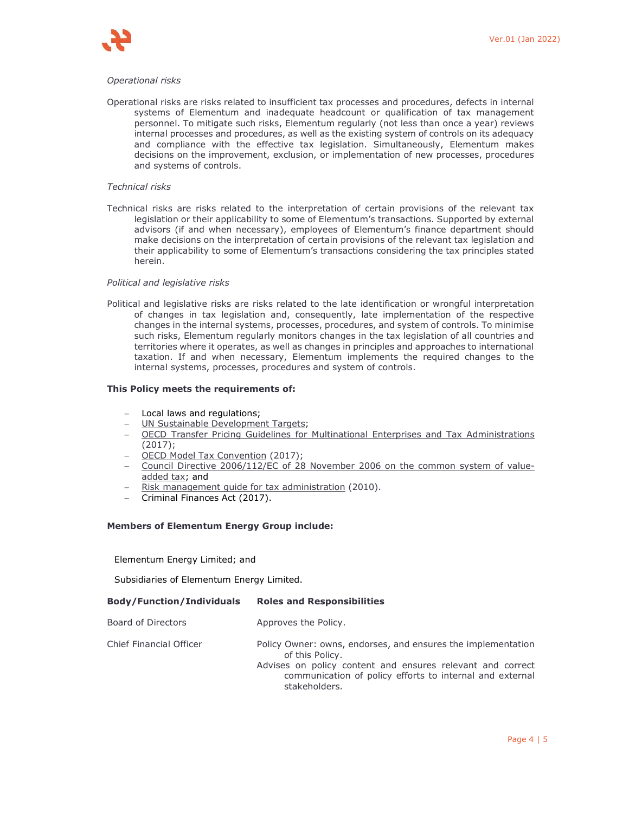

## *Operational risks*

Operational risks are risks related to insufficient tax processes and procedures, defects in internal systems of Elementum and inadequate headcount or qualification of tax management personnel. To mitigate such risks, Elementum regularly (not less than once a year) reviews internal processes and procedures, as well as the existing system of controls on its adequacy and compliance with the effective tax legislation. Simultaneously, Elementum makes decisions on the improvement, exclusion, or implementation of new processes, procedures and systems of controls.

## *Technical risks*

Technical risks are risks related to the interpretation of certain provisions of the relevant tax legislation or their applicability to some of Elementum's transactions. Supported by external advisors (if and when necessary), employees of Elementum's finance department should make decisions on the interpretation of certain provisions of the relevant tax legislation and their applicability to some of Elementum's transactions considering the tax principles stated herein.

## *Political and legislative risks*

Political and legislative risks are risks related to the late identification or wrongful interpretation of changes in tax legislation and, consequently, late implementation of the respective changes in the internal systems, processes, procedures, and system of controls. To minimise such risks, Elementum regularly monitors changes in the tax legislation of all countries and territories where it operates, as well as changes in principles and approaches to international taxation. If and when necessary, Elementum implements the required changes to the internal systems, processes, procedures and system of controls.

## **This Policy meets the requirements of:**

- Local laws and regulations;
- UN Sustainable Development Targets;
- OECD Transfer Pricing Guidelines for Multinational Enterprises and Tax Administrations (2017);
- OECD Model Tax Convention (2017);
- Council Directive 2006/112/EC of 28 November 2006 on the common system of valueadded tax; and
- Risk management guide for tax administration (2010).
- Criminal Finances Act (2017).

#### **Members of Elementum Energy Group include:**

Elementum Energy Limited; and

Subsidiaries of Elementum Energy Limited.

| <b>Body/Function/Individuals</b> | <b>Roles and Responsibilities</b>                                                                                                                                                                                          |
|----------------------------------|----------------------------------------------------------------------------------------------------------------------------------------------------------------------------------------------------------------------------|
| Board of Directors               | Approves the Policy.                                                                                                                                                                                                       |
| <b>Chief Financial Officer</b>   | Policy Owner: owns, endorses, and ensures the implementation<br>of this Policy.<br>Advises on policy content and ensures relevant and correct<br>communication of policy efforts to internal and external<br>stakeholders. |